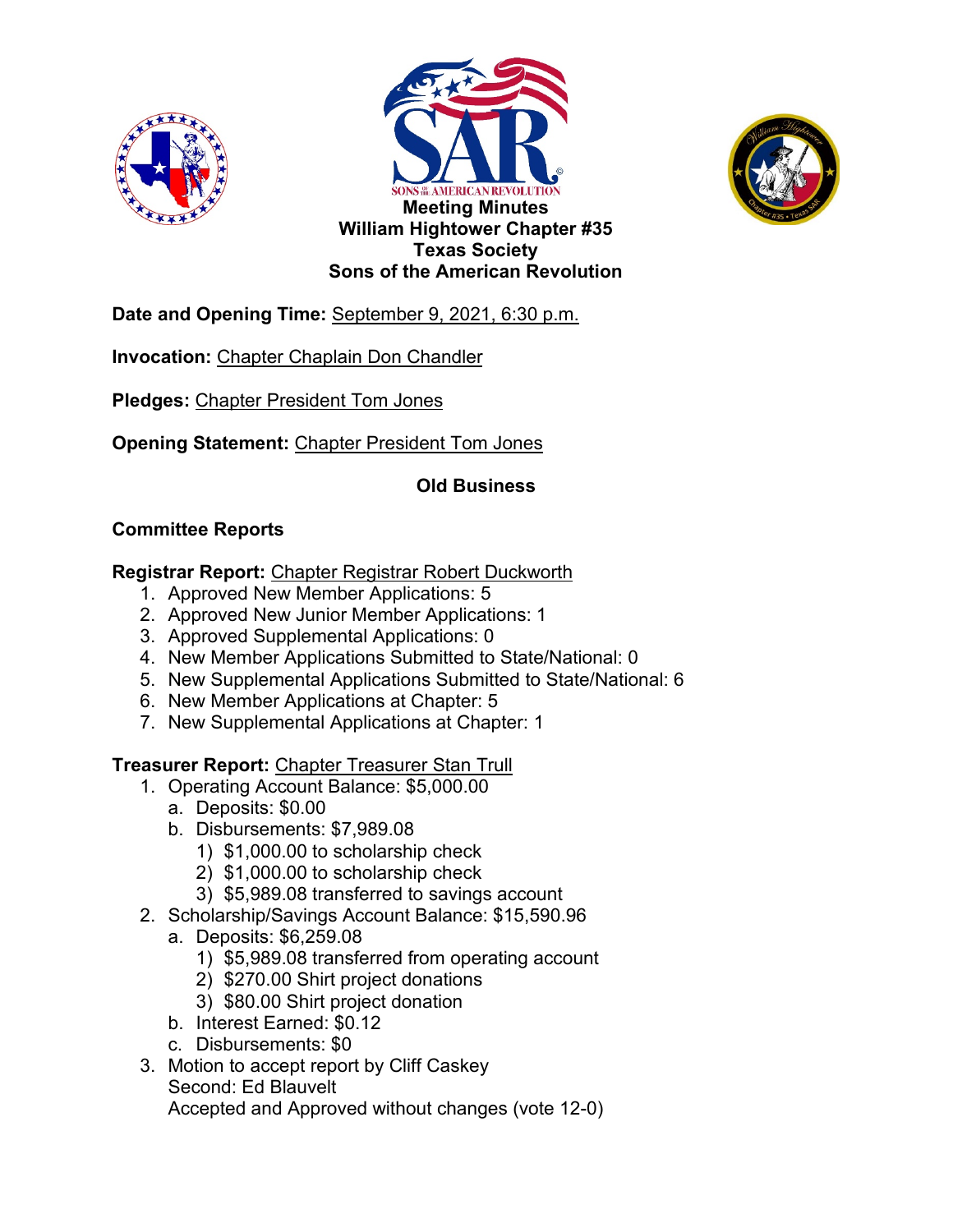





**Date and Opening Time:** September 9, 2021, 6:30 p.m.

**Invocation:** Chapter Chaplain Don Chandler

**Pledges:** Chapter President Tom Jones

**Opening Statement:** Chapter President Tom Jones

# **Old Business**

# **Committee Reports**

**Registrar Report:** Chapter Registrar Robert Duckworth

- 1. Approved New Member Applications: 5
- 2. Approved New Junior Member Applications: 1
- 3. Approved Supplemental Applications: 0
- 4. New Member Applications Submitted to State/National: 0
- 5. New Supplemental Applications Submitted to State/National: 6
- 6. New Member Applications at Chapter: 5
- 7. New Supplemental Applications at Chapter: 1

**Treasurer Report:** Chapter Treasurer Stan Trull

- 1. Operating Account Balance: \$5,000.00
	- a. Deposits: \$0.00
	- b. Disbursements: \$7,989.08
		- 1) \$1,000.00 to scholarship check
		- 2) \$1,000.00 to scholarship check
	- 3) \$5,989.08 transferred to savings account
- 2. Scholarship/Savings Account Balance: \$15,590.96
	- a. Deposits: \$6,259.08
		- 1) \$5,989.08 transferred from operating account
		- 2) \$270.00 Shirt project donations
		- 3) \$80.00 Shirt project donation
	- b. Interest Earned: \$0.12
	- c. Disbursements: \$0
- 3. Motion to accept report by Cliff Caskey Second: Ed Blauvelt

Accepted and Approved without changes (vote 12-0)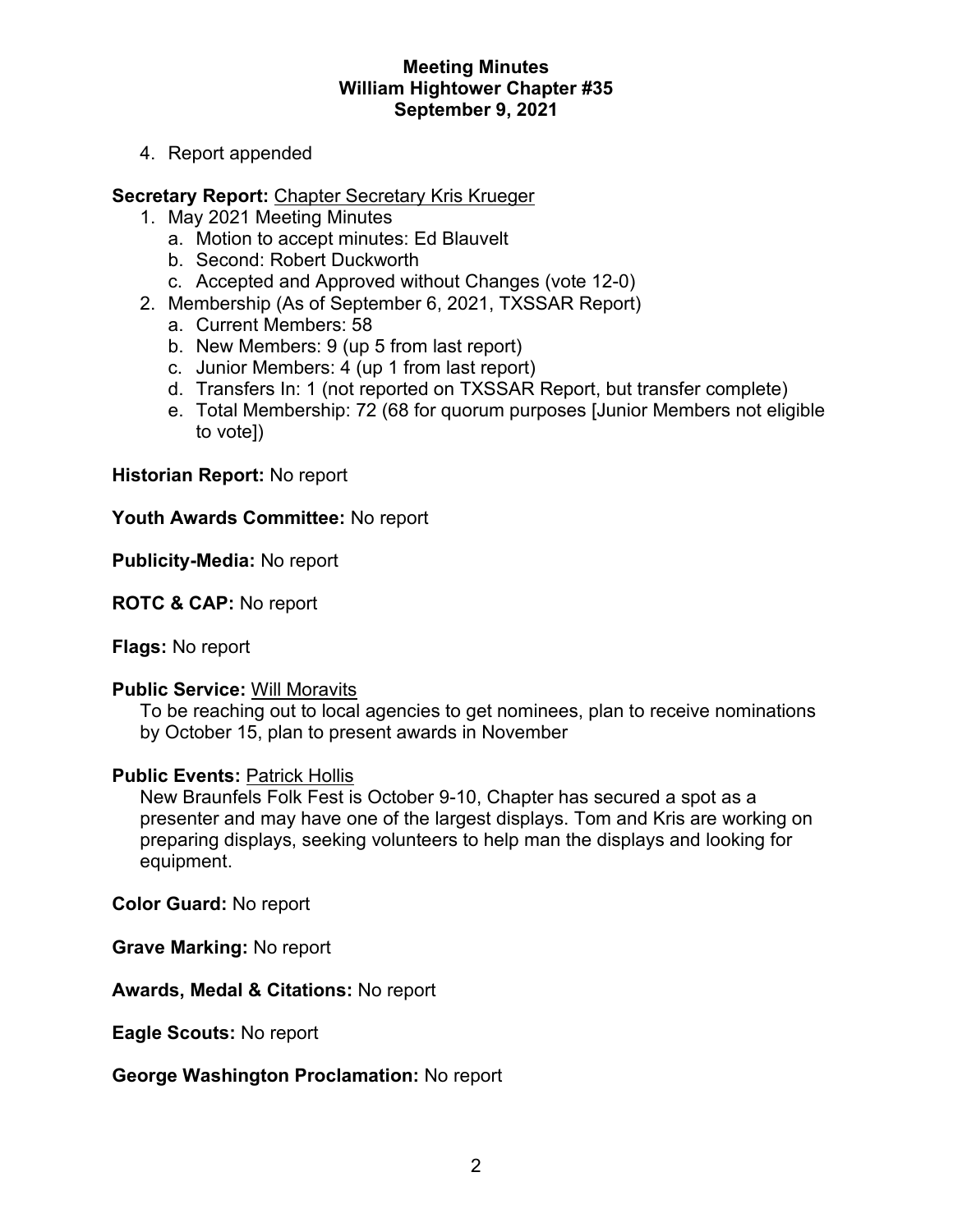### **Meeting Minutes William Hightower Chapter #35 September 9, 2021**

4. Report appended

### **Secretary Report:** Chapter Secretary Kris Krueger

- 1. May 2021 Meeting Minutes
	- a. Motion to accept minutes: Ed Blauvelt
	- b. Second: Robert Duckworth
	- c. Accepted and Approved without Changes (vote 12-0)
- 2. Membership (As of September 6, 2021, TXSSAR Report)
	- a. Current Members: 58
	- b. New Members: 9 (up 5 from last report)
	- c. Junior Members: 4 (up 1 from last report)
	- d. Transfers In: 1 (not reported on TXSSAR Report, but transfer complete)
	- e. Total Membership: 72 (68 for quorum purposes [Junior Members not eligible to vote])

#### **Historian Report:** No report

#### **Youth Awards Committee:** No report

#### **Publicity-Media:** No report

### **ROTC & CAP:** No report

**Flags:** No report

#### **Public Service:** Will Moravits

To be reaching out to local agencies to get nominees, plan to receive nominations by October 15, plan to present awards in November

#### **Public Events:** Patrick Hollis

New Braunfels Folk Fest is October 9-10, Chapter has secured a spot as a presenter and may have one of the largest displays. Tom and Kris are working on preparing displays, seeking volunteers to help man the displays and looking for equipment.

**Color Guard:** No report

**Grave Marking:** No report

**Awards, Medal & Citations:** No report

**Eagle Scouts:** No report

#### **George Washington Proclamation:** No report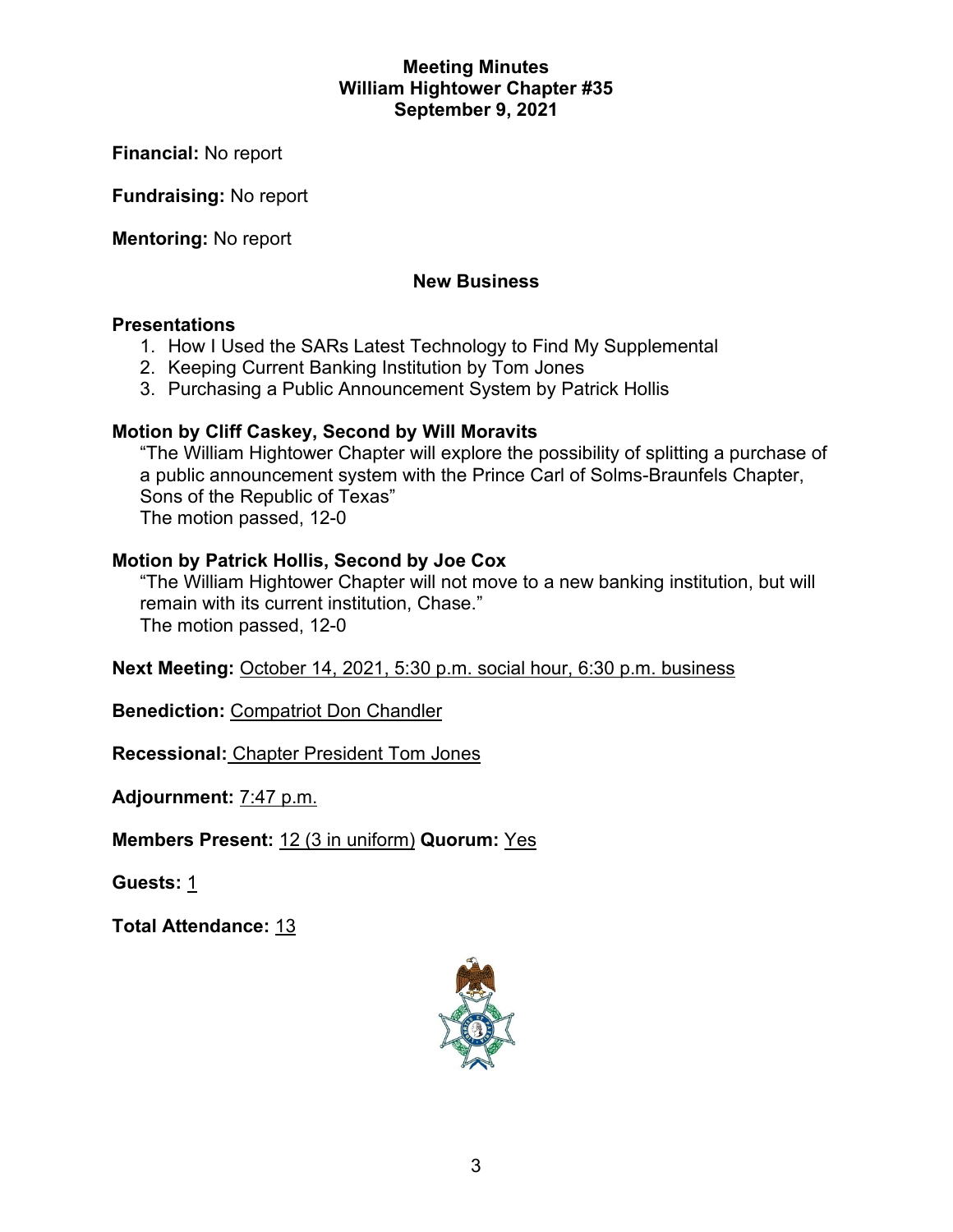### **Meeting Minutes William Hightower Chapter #35 September 9, 2021**

**Financial:** No report

**Fundraising:** No report

**Mentoring:** No report

# **New Business**

### **Presentations**

- 1. How I Used the SARs Latest Technology to Find My Supplemental
- 2. Keeping Current Banking Institution by Tom Jones
- 3. Purchasing a Public Announcement System by Patrick Hollis

# **Motion by Cliff Caskey, Second by Will Moravits**

"The William Hightower Chapter will explore the possibility of splitting a purchase of a public announcement system with the Prince Carl of Solms-Braunfels Chapter, Sons of the Republic of Texas" The motion passed, 12-0

# **Motion by Patrick Hollis, Second by Joe Cox**

"The William Hightower Chapter will not move to a new banking institution, but will remain with its current institution, Chase." The motion passed, 12-0

**Next Meeting:** October 14, 2021, 5:30 p.m. social hour, 6:30 p.m. business

**Benediction:** Compatriot Don Chandler

**Recessional:** Chapter President Tom Jones

**Adjournment:** 7:47 p.m.

**Members Present:** 12 (3 in uniform) **Quorum:** Yes

**Guests:** 1

**Total Attendance:** 13

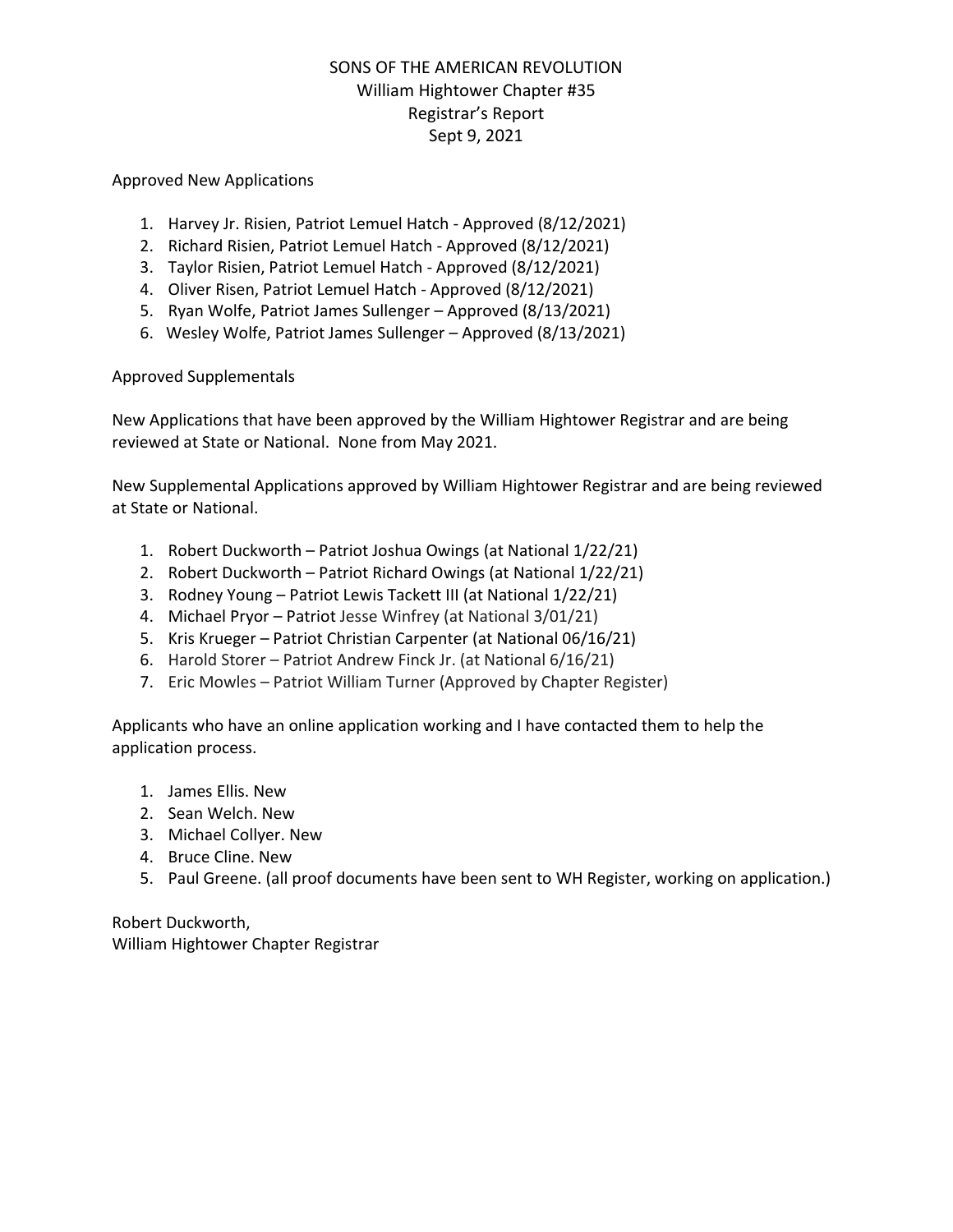# SONS OF THE AMERICAN REVOLUTION William Hightower Chapter #35 Registrar's Report Sept 9, 2021

#### Approved New Applications

- 1. Harvey Jr. Risien, Patriot Lemuel Hatch Approved (8/12/2021)
- 2. Richard Risien, Patriot Lemuel Hatch Approved (8/12/2021)
- 3. Taylor Risien, Patriot Lemuel Hatch Approved (8/12/2021)
- 4. Oliver Risen, Patriot Lemuel Hatch Approved (8/12/2021)
- 5. Ryan Wolfe, Patriot James Sullenger Approved (8/13/2021)
- 6. Wesley Wolfe, Patriot James Sullenger Approved (8/13/2021)

#### Approved Supplementals

New Applications that have been approved by the William Hightower Registrar and are being reviewed at State or National. None from May 2021.

New Supplemental Applications approved by William Hightower Registrar and are being reviewed at State or National.

- 1. Robert Duckworth Patriot Joshua Owings (at National 1/22/21)
- 2. Robert Duckworth Patriot Richard Owings (at National 1/22/21)
- 3. Rodney Young Patriot Lewis Tackett III (at National 1/22/21)
- 4. Michael Pryor Patriot Jesse Winfrey (at National 3/01/21)
- 5. Kris Krueger Patriot Christian Carpenter (at National 06/16/21)
- 6. Harold Storer Patriot Andrew Finck Jr. (at National 6/16/21)
- 7. Eric Mowles Patriot William Turner (Approved by Chapter Register)

Applicants who have an online application working and I have contacted them to help the application process.

- 1. James Ellis. New
- 2. Sean Welch. New
- 3. Michael Collyer. New
- 4. Bruce Cline. New
- 5. Paul Greene. (all proof documents have been sent to WH Register, working on application.)

Robert Duckworth, William Hightower Chapter Registrar